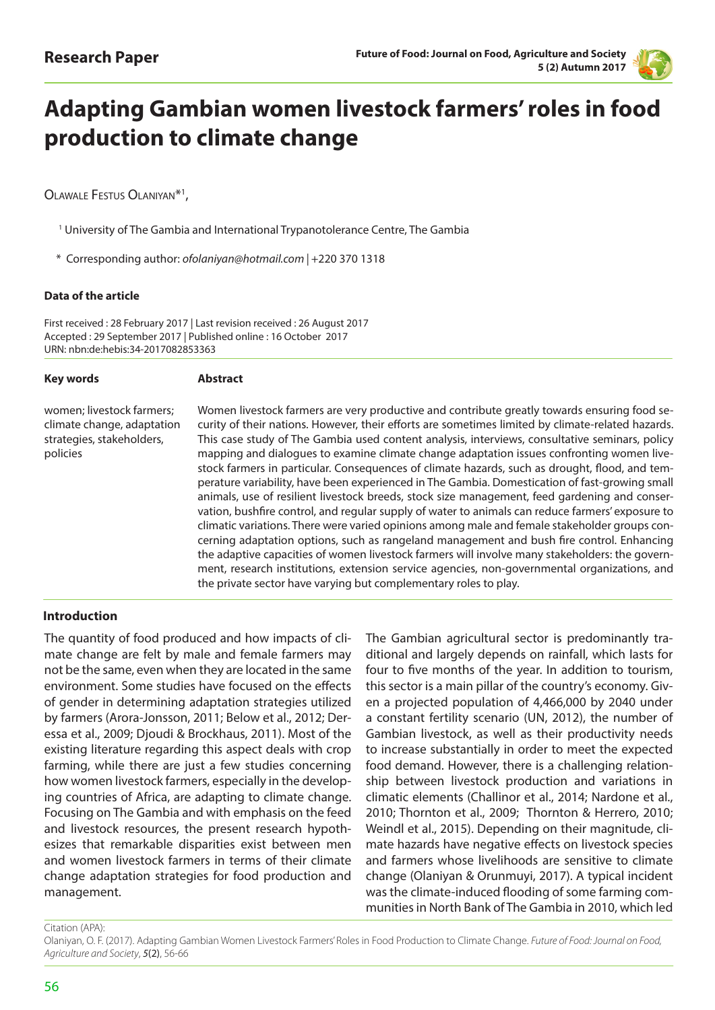

# **Adapting Gambian women livestock farmers' roles in food production to climate change**

OLAWALE FESTUS OLANIYAN<sup>\*1</sup>,

- <sup>1</sup> University of The Gambia and International Trypanotolerance Centre, The Gambia
- \* Corresponding author: *ofolaniyan@hotmail.com |* +220 370 1318

#### **Data of the article**

First received : 28 February 2017 | Last revision received : 26 August 2017 Accepted : 29 September 2017 | Published online : 16 October 2017 URN: nbn:de:hebis:34-2017082853363

| <b>Key words</b>                                                                                 | <b>Abstract</b>                                                                                                                                                                                                                                                                                                                                                                                                                                                                                                                                                                                                                                                                                                                                                                                                                                                                                                                                                                                                                                                                                                                                                                                                                                                               |
|--------------------------------------------------------------------------------------------------|-------------------------------------------------------------------------------------------------------------------------------------------------------------------------------------------------------------------------------------------------------------------------------------------------------------------------------------------------------------------------------------------------------------------------------------------------------------------------------------------------------------------------------------------------------------------------------------------------------------------------------------------------------------------------------------------------------------------------------------------------------------------------------------------------------------------------------------------------------------------------------------------------------------------------------------------------------------------------------------------------------------------------------------------------------------------------------------------------------------------------------------------------------------------------------------------------------------------------------------------------------------------------------|
| women; livestock farmers;<br>climate change, adaptation<br>strategies, stakeholders,<br>policies | Women livestock farmers are very productive and contribute greatly towards ensuring food se-<br>curity of their nations. However, their efforts are sometimes limited by climate-related hazards.<br>This case study of The Gambia used content analysis, interviews, consultative seminars, policy<br>mapping and dialogues to examine climate change adaptation issues confronting women live-<br>stock farmers in particular. Consequences of climate hazards, such as drought, flood, and tem-<br>perature variability, have been experienced in The Gambia. Domestication of fast-growing small<br>animals, use of resilient livestock breeds, stock size management, feed gardening and conser-<br>vation, bushfire control, and regular supply of water to animals can reduce farmers' exposure to<br>climatic variations. There were varied opinions among male and female stakeholder groups con-<br>cerning adaptation options, such as rangeland management and bush fire control. Enhancing<br>the adaptive capacities of women livestock farmers will involve many stakeholders: the govern-<br>ment, research institutions, extension service agencies, non-governmental organizations, and<br>the private sector have varying but complementary roles to play. |
|                                                                                                  |                                                                                                                                                                                                                                                                                                                                                                                                                                                                                                                                                                                                                                                                                                                                                                                                                                                                                                                                                                                                                                                                                                                                                                                                                                                                               |

#### **Introduction**

The quantity of food produced and how impacts of climate change are felt by male and female farmers may not be the same, even when they are located in the same environment. Some studies have focused on the effects of gender in determining adaptation strategies utilized by farmers (Arora-Jonsson, 2011; Below et al., 2012; Deressa et al., 2009; Djoudi & Brockhaus, 2011). Most of the existing literature regarding this aspect deals with crop farming, while there are just a few studies concerning how women livestock farmers, especially in the developing countries of Africa, are adapting to climate change. Focusing on The Gambia and with emphasis on the feed and livestock resources, the present research hypothesizes that remarkable disparities exist between men and women livestock farmers in terms of their climate change adaptation strategies for food production and management.

The Gambian agricultural sector is predominantly traditional and largely depends on rainfall, which lasts for four to five months of the year. In addition to tourism, this sector is a main pillar of the country's economy. Given a projected population of 4,466,000 by 2040 under a constant fertility scenario (UN, 2012), the number of Gambian livestock, as well as their productivity needs to increase substantially in order to meet the expected food demand. However, there is a challenging relationship between livestock production and variations in climatic elements (Challinor et al., 2014; Nardone et al., 2010; Thornton et al., 2009; Thornton & Herrero, 2010; Weindl et al., 2015). Depending on their magnitude, climate hazards have negative effects on livestock species and farmers whose livelihoods are sensitive to climate change (Olaniyan & Orunmuyi, 2017). A typical incident was the climate-induced flooding of some farming communities in North Bank of The Gambia in 2010, which led

Citation (APA):

Olaniyan, O. F. (2017). Adapting Gambian Women Livestock Farmers' Roles in Food Production to Climate Change. *Future of Food: Journal on Food, Agriculture and Society*, *5*(2), 56-66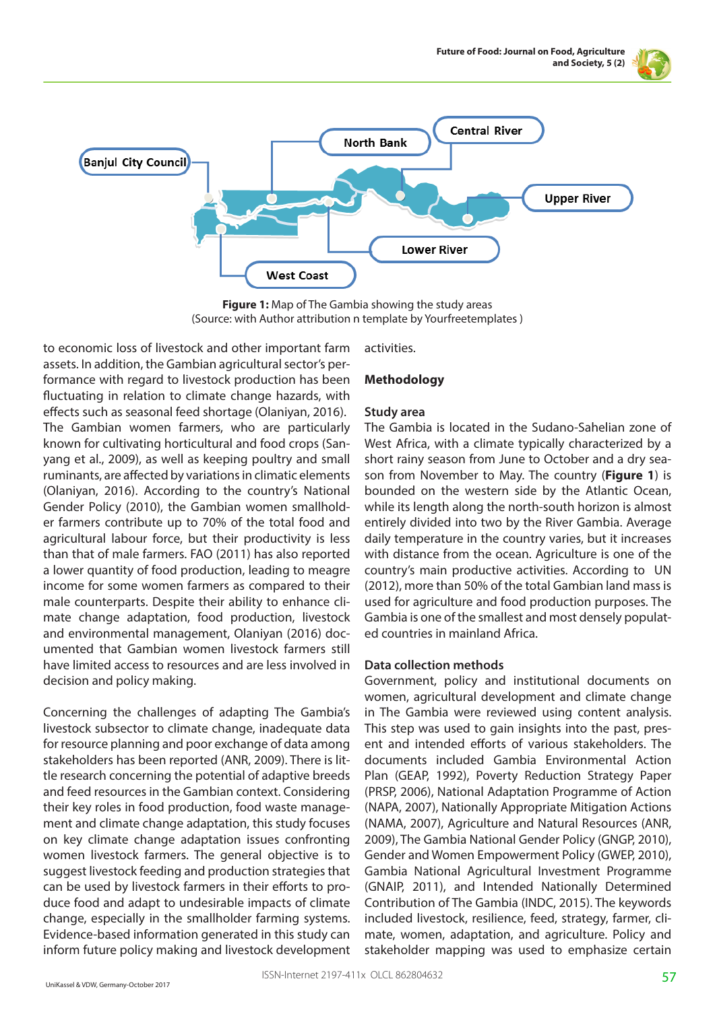



**Figure 1:** Map of The Gambia showing the study areas (Source: with Author attribution n template by Yourfreetemplates )

to economic loss of livestock and other important farm assets. In addition, the Gambian agricultural sector's performance with regard to livestock production has been fluctuating in relation to climate change hazards, with effects such as seasonal feed shortage (Olaniyan, 2016). The Gambian women farmers, who are particularly known for cultivating horticultural and food crops (Sanyang et al., 2009), as well as keeping poultry and small ruminants, are affected by variations in climatic elements (Olaniyan, 2016). According to the country's National Gender Policy (2010), the Gambian women smallholder farmers contribute up to 70% of the total food and agricultural labour force, but their productivity is less than that of male farmers. FAO (2011) has also reported a lower quantity of food production, leading to meagre income for some women farmers as compared to their male counterparts. Despite their ability to enhance climate change adaptation, food production, livestock and environmental management, Olaniyan (2016) documented that Gambian women livestock farmers still have limited access to resources and are less involved in decision and policy making.

Concerning the challenges of adapting The Gambia's livestock subsector to climate change, inadequate data for resource planning and poor exchange of data among stakeholders has been reported (ANR, 2009). There is little research concerning the potential of adaptive breeds and feed resources in the Gambian context. Considering their key roles in food production, food waste management and climate change adaptation, this study focuses on key climate change adaptation issues confronting women livestock farmers. The general objective is to suggest livestock feeding and production strategies that can be used by livestock farmers in their efforts to produce food and adapt to undesirable impacts of climate change, especially in the smallholder farming systems. Evidence-based information generated in this study can inform future policy making and livestock development activities.

## **Methodology**

## **Study area**

The Gambia is located in the Sudano-Sahelian zone of West Africa, with a climate typically characterized by a short rainy season from June to October and a dry season from November to May. The country (**Figure 1**) is bounded on the western side by the Atlantic Ocean, while its length along the north-south horizon is almost entirely divided into two by the River Gambia. Average daily temperature in the country varies, but it increases with distance from the ocean. Agriculture is one of the country's main productive activities. According to UN (2012), more than 50% of the total Gambian land mass is used for agriculture and food production purposes. The Gambia is one of the smallest and most densely populated countries in mainland Africa.

#### **Data collection methods**

Government, policy and institutional documents on women, agricultural development and climate change in The Gambia were reviewed using content analysis. This step was used to gain insights into the past, present and intended efforts of various stakeholders. The documents included Gambia Environmental Action Plan (GEAP, 1992), Poverty Reduction Strategy Paper (PRSP, 2006), National Adaptation Programme of Action (NAPA, 2007), Nationally Appropriate Mitigation Actions (NAMA, 2007), Agriculture and Natural Resources (ANR, 2009), The Gambia National Gender Policy (GNGP, 2010), Gender and Women Empowerment Policy (GWEP, 2010), Gambia National Agricultural Investment Programme (GNAIP, 2011), and Intended Nationally Determined Contribution of The Gambia (INDC, 2015). The keywords included livestock, resilience, feed, strategy, farmer, climate, women, adaptation, and agriculture. Policy and stakeholder mapping was used to emphasize certain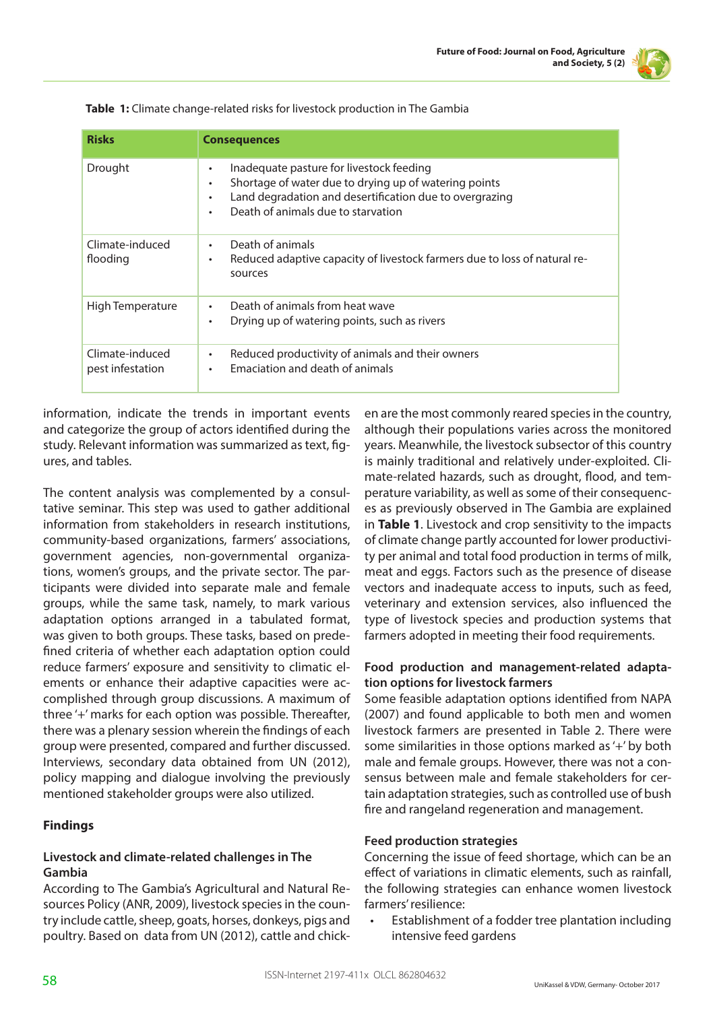

| <b>Risks</b>                        | <b>Consequences</b>                                                                                                                                                                                                    |
|-------------------------------------|------------------------------------------------------------------------------------------------------------------------------------------------------------------------------------------------------------------------|
| Drought                             | Inadequate pasture for livestock feeding<br>٠<br>Shortage of water due to drying up of watering points<br>٠<br>Land degradation and desertification due to overgrazing<br>٠<br>Death of animals due to starvation<br>٠ |
| Climate-induced<br>flooding         | Death of animals<br>٠<br>Reduced adaptive capacity of livestock farmers due to loss of natural re-<br>٠<br>sources                                                                                                     |
| High Temperature                    | Death of animals from heat wave<br>٠<br>Drying up of watering points, such as rivers<br>٠                                                                                                                              |
| Climate-induced<br>pest infestation | Reduced productivity of animals and their owners<br>٠<br>Emaciation and death of animals<br>$\bullet$                                                                                                                  |

**Table 1:** Climate change-related risks for livestock production in The Gambia

information, indicate the trends in important events and categorize the group of actors identified during the study. Relevant information was summarized as text, figures, and tables.

The content analysis was complemented by a consultative seminar. This step was used to gather additional information from stakeholders in research institutions, community-based organizations, farmers' associations, government agencies, non-governmental organizations, women's groups, and the private sector. The participants were divided into separate male and female groups, while the same task, namely, to mark various adaptation options arranged in a tabulated format, was given to both groups. These tasks, based on predefined criteria of whether each adaptation option could reduce farmers' exposure and sensitivity to climatic elements or enhance their adaptive capacities were accomplished through group discussions. A maximum of three '+' marks for each option was possible. Thereafter, there was a plenary session wherein the findings of each group were presented, compared and further discussed. Interviews, secondary data obtained from UN (2012), policy mapping and dialogue involving the previously mentioned stakeholder groups were also utilized.

# **Findings**

# **Livestock and climate-related challenges in The Gambia**

According to The Gambia's Agricultural and Natural Resources Policy (ANR, 2009), livestock species in the country include cattle, sheep, goats, horses, donkeys, pigs and poultry. Based on data from UN (2012), cattle and chicken are the most commonly reared species in the country, although their populations varies across the monitored years. Meanwhile, the livestock subsector of this country is mainly traditional and relatively under-exploited. Climate-related hazards, such as drought, flood, and temperature variability, as well as some of their consequences as previously observed in The Gambia are explained in **Table 1**. Livestock and crop sensitivity to the impacts of climate change partly accounted for lower productivity per animal and total food production in terms of milk, meat and eggs. Factors such as the presence of disease vectors and inadequate access to inputs, such as feed, veterinary and extension services, also influenced the type of livestock species and production systems that farmers adopted in meeting their food requirements.

## **Food production and management-related adaptation options for livestock farmers**

Some feasible adaptation options identified from NAPA (2007) and found applicable to both men and women livestock farmers are presented in Table 2. There were some similarities in those options marked as '+' by both male and female groups. However, there was not a consensus between male and female stakeholders for certain adaptation strategies, such as controlled use of bush fire and rangeland regeneration and management.

# **Feed production strategies**

Concerning the issue of feed shortage, which can be an effect of variations in climatic elements, such as rainfall, the following strategies can enhance women livestock farmers' resilience:

Establishment of a fodder tree plantation including intensive feed gardens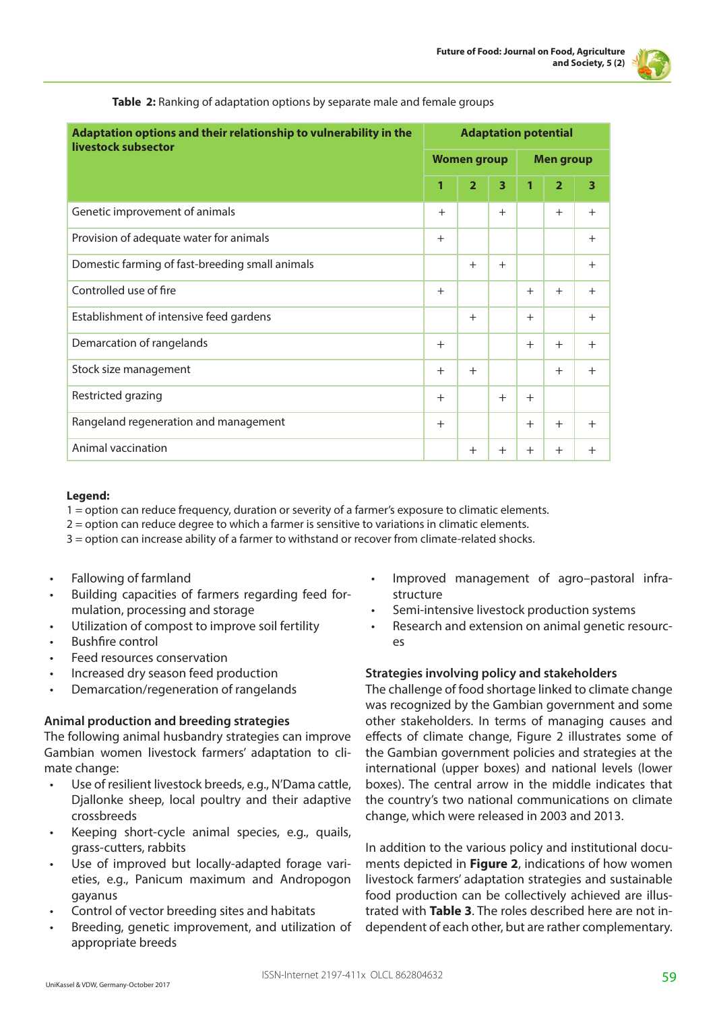

| Adaptation options and their relationship to vulnerability in the<br>livestock subsector |     | <b>Adaptation potential</b> |     |        |                  |        |  |
|------------------------------------------------------------------------------------------|-----|-----------------------------|-----|--------|------------------|--------|--|
|                                                                                          |     | <b>Women group</b>          |     |        | <b>Men group</b> |        |  |
|                                                                                          | 1   | $\overline{2}$              | 3   | 1      | $\overline{2}$   | 3      |  |
| Genetic improvement of animals                                                           | $+$ |                             | $+$ |        | $+$              | $+$    |  |
| Provision of adequate water for animals                                                  | $+$ |                             |     |        |                  | $+$    |  |
| Domestic farming of fast-breeding small animals                                          |     | $+$                         | $+$ |        |                  | $+$    |  |
| Controlled use of fire                                                                   |     |                             |     | $+$    | $+$              | $+$    |  |
| Establishment of intensive feed gardens                                                  |     | $+$                         |     | $+$    |                  | $+$    |  |
| Demarcation of rangelands                                                                | $+$ |                             |     | $+$    | $+$              | $+$    |  |
| Stock size management                                                                    | $+$ | $+$                         |     |        | $+$              | $+$    |  |
| Restricted grazing                                                                       | $+$ |                             | $+$ | $+$    |                  |        |  |
| Rangeland regeneration and management                                                    | $+$ |                             |     | $+$    | $+$              | $+$    |  |
| Animal vaccination                                                                       |     | $^{+}$                      | $+$ | $^{+}$ | $+$              | $^{+}$ |  |

**Table 2:** Ranking of adaptation options by separate male and female groups

#### **Legend:**

- 1 = option can reduce frequency, duration or severity of a farmer's exposure to climatic elements.
- 2 = option can reduce degree to which a farmer is sensitive to variations in climatic elements.
- 3 = option can increase ability of a farmer to withstand or recover from climate-related shocks.
- Fallowing of farmland
- Building capacities of farmers regarding feed formulation, processing and storage
- Utilization of compost to improve soil fertility
- Bushfire control
- Feed resources conservation
- Increased dry season feed production
- Demarcation/regeneration of rangelands

#### **Animal production and breeding strategies**

The following animal husbandry strategies can improve Gambian women livestock farmers' adaptation to climate change:

- Use of resilient livestock breeds, e.g., N'Dama cattle, Djallonke sheep, local poultry and their adaptive crossbreeds
- Keeping short-cycle animal species, e.g., quails, grass-cutters, rabbits
- Use of improved but locally-adapted forage varieties, e.g., Panicum maximum and Andropogon gayanus
- Control of vector breeding sites and habitats
- Breeding, genetic improvement, and utilization of appropriate breeds
- Improved management of agro–pastoral infrastructure
- Semi-intensive livestock production systems
- Research and extension on animal genetic resources

#### **Strategies involving policy and stakeholders**

The challenge of food shortage linked to climate change was recognized by the Gambian government and some other stakeholders. In terms of managing causes and effects of climate change, Figure 2 illustrates some of the Gambian government policies and strategies at the international (upper boxes) and national levels (lower boxes). The central arrow in the middle indicates that the country's two national communications on climate change, which were released in 2003 and 2013.

In addition to the various policy and institutional documents depicted in **Figure 2**, indications of how women livestock farmers' adaptation strategies and sustainable food production can be collectively achieved are illustrated with **Table 3**. The roles described here are not independent of each other, but are rather complementary.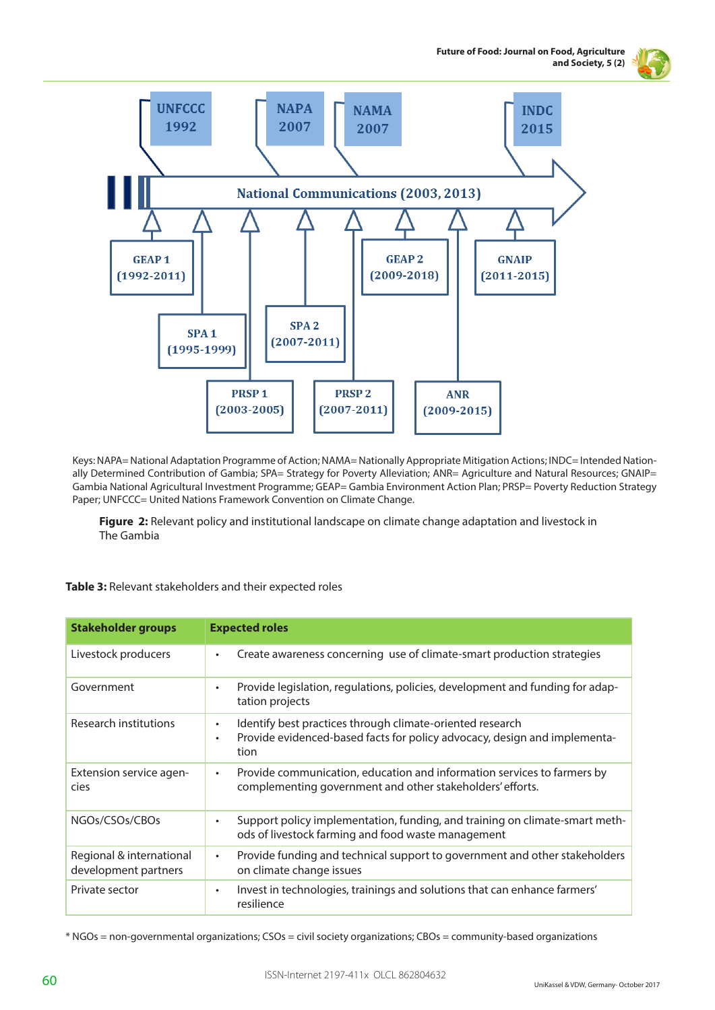



Keys: NAPA= National Adaptation Programme of Action; NAMA= Nationally Appropriate Mitigation Actions; INDC= Intended Nationally Determined Contribution of Gambia; SPA= Strategy for Poverty Alleviation; ANR= Agriculture and Natural Resources; GNAIP= Gambia National Agricultural Investment Programme; GEAP= Gambia Environment Action Plan; PRSP= Poverty Reduction Strategy Paper; UNFCCC= United Nations Framework Convention on Climate Change.

**Figure 2:** Relevant policy and institutional landscape on climate change adaptation and livestock in The Gambia

### **Table 3:** Relevant stakeholders and their expected roles

| <b>Stakeholder groups</b>                        | <b>Expected roles</b>                                                                                                                                                    |
|--------------------------------------------------|--------------------------------------------------------------------------------------------------------------------------------------------------------------------------|
| Livestock producers                              | Create awareness concerning use of climate-smart production strategies<br>$\bullet$                                                                                      |
| Government                                       | Provide legislation, regulations, policies, development and funding for adap-<br>$\bullet$<br>tation projects                                                            |
| Research institutions                            | Identify best practices through climate-oriented research<br>$\bullet$<br>Provide evidenced-based facts for policy advocacy, design and implementa-<br>$\bullet$<br>tion |
| Extension service agen-<br>cies                  | Provide communication, education and information services to farmers by<br>$\bullet$<br>complementing government and other stakeholders' efforts.                        |
| NGOs/CSOs/CBOs                                   | Support policy implementation, funding, and training on climate-smart meth-<br>$\bullet$<br>ods of livestock farming and food waste management                           |
| Regional & international<br>development partners | Provide funding and technical support to government and other stakeholders<br>$\bullet$<br>on climate change issues                                                      |
| Private sector                                   | Invest in technologies, trainings and solutions that can enhance farmers'<br>$\bullet$<br>resilience                                                                     |

\* NGOs = non-governmental organizations; CSOs = civil society organizations; CBOs = community-based organizations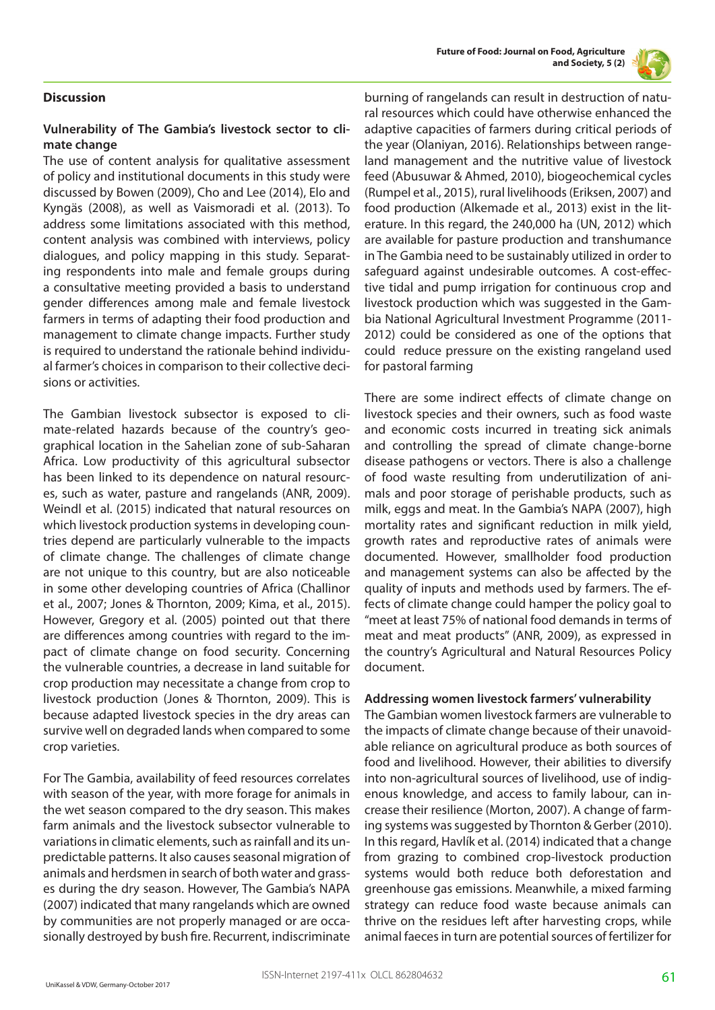

# **Discussion**

## **Vulnerability of The Gambia's livestock sector to climate change**

The use of content analysis for qualitative assessment of policy and institutional documents in this study were discussed by Bowen (2009), Cho and Lee (2014), Elo and Kyngäs (2008), as well as Vaismoradi et al. (2013). To address some limitations associated with this method, content analysis was combined with interviews, policy dialogues, and policy mapping in this study. Separating respondents into male and female groups during a consultative meeting provided a basis to understand gender differences among male and female livestock farmers in terms of adapting their food production and management to climate change impacts. Further study is required to understand the rationale behind individual farmer's choices in comparison to their collective decisions or activities.

The Gambian livestock subsector is exposed to climate-related hazards because of the country's geographical location in the Sahelian zone of sub-Saharan Africa. Low productivity of this agricultural subsector has been linked to its dependence on natural resources, such as water, pasture and rangelands (ANR, 2009). Weindl et al. (2015) indicated that natural resources on which livestock production systems in developing countries depend are particularly vulnerable to the impacts of climate change. The challenges of climate change are not unique to this country, but are also noticeable in some other developing countries of Africa (Challinor et al., 2007; Jones & Thornton, 2009; Kima, et al., 2015). However, Gregory et al. (2005) pointed out that there are differences among countries with regard to the impact of climate change on food security. Concerning the vulnerable countries, a decrease in land suitable for crop production may necessitate a change from crop to livestock production (Jones & Thornton, 2009). This is because adapted livestock species in the dry areas can survive well on degraded lands when compared to some crop varieties.

For The Gambia, availability of feed resources correlates with season of the year, with more forage for animals in the wet season compared to the dry season. This makes farm animals and the livestock subsector vulnerable to variations in climatic elements, such as rainfall and its unpredictable patterns. It also causes seasonal migration of animals and herdsmen in search of both water and grasses during the dry season. However, The Gambia's NAPA (2007) indicated that many rangelands which are owned by communities are not properly managed or are occasionally destroyed by bush fire. Recurrent, indiscriminate

burning of rangelands can result in destruction of natural resources which could have otherwise enhanced the adaptive capacities of farmers during critical periods of the year (Olaniyan, 2016). Relationships between rangeland management and the nutritive value of livestock feed (Abusuwar & Ahmed, 2010), biogeochemical cycles (Rumpel et al., 2015), rural livelihoods (Eriksen, 2007) and food production (Alkemade et al., 2013) exist in the literature. In this regard, the 240,000 ha (UN, 2012) which are available for pasture production and transhumance in The Gambia need to be sustainably utilized in order to safeguard against undesirable outcomes. A cost-effective tidal and pump irrigation for continuous crop and livestock production which was suggested in the Gambia National Agricultural Investment Programme (2011- 2012) could be considered as one of the options that could reduce pressure on the existing rangeland used for pastoral farming

There are some indirect effects of climate change on livestock species and their owners, such as food waste and economic costs incurred in treating sick animals and controlling the spread of climate change-borne disease pathogens or vectors. There is also a challenge of food waste resulting from underutilization of animals and poor storage of perishable products, such as milk, eggs and meat. In the Gambia's NAPA (2007), high mortality rates and significant reduction in milk yield, growth rates and reproductive rates of animals were documented. However, smallholder food production and management systems can also be affected by the quality of inputs and methods used by farmers. The effects of climate change could hamper the policy goal to "meet at least 75% of national food demands in terms of meat and meat products" (ANR, 2009), as expressed in the country's Agricultural and Natural Resources Policy document.

#### **Addressing women livestock farmers' vulnerability**

The Gambian women livestock farmers are vulnerable to the impacts of climate change because of their unavoidable reliance on agricultural produce as both sources of food and livelihood. However, their abilities to diversify into non-agricultural sources of livelihood, use of indigenous knowledge, and access to family labour, can increase their resilience (Morton, 2007). A change of farming systems was suggested by Thornton & Gerber (2010). In this regard, Havlík et al. (2014) indicated that a change from grazing to combined crop-livestock production systems would both reduce both deforestation and greenhouse gas emissions. Meanwhile, a mixed farming strategy can reduce food waste because animals can thrive on the residues left after harvesting crops, while animal faeces in turn are potential sources of fertilizer for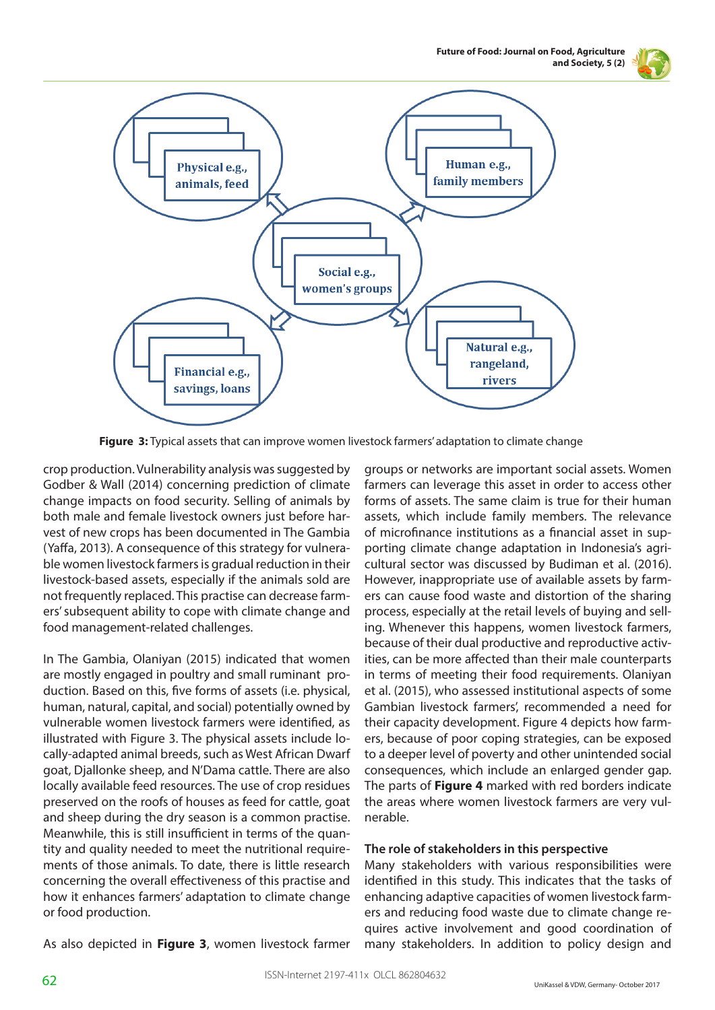**Future of Food: Journal on Food, Agriculture and Society, 5 (2)**





**Figure 3:** Typical assets that can improve women livestock farmers' adaptation to climate change

crop production. Vulnerability analysis was suggested by Godber & Wall (2014) concerning prediction of climate change impacts on food security. Selling of animals by both male and female livestock owners just before harvest of new crops has been documented in The Gambia (Yaffa, 2013). A consequence of this strategy for vulnerable women livestock farmers is gradual reduction in their livestock-based assets, especially if the animals sold are not frequently replaced. This practise can decrease farmers' subsequent ability to cope with climate change and food management-related challenges.

In The Gambia, Olaniyan (2015) indicated that women are mostly engaged in poultry and small ruminant production. Based on this, five forms of assets (i.e. physical, human, natural, capital, and social) potentially owned by vulnerable women livestock farmers were identified, as illustrated with Figure 3. The physical assets include locally-adapted animal breeds, such as West African Dwarf goat, Djallonke sheep, and N'Dama cattle. There are also locally available feed resources. The use of crop residues preserved on the roofs of houses as feed for cattle, goat and sheep during the dry season is a common practise. Meanwhile, this is still insufficient in terms of the quantity and quality needed to meet the nutritional requirements of those animals. To date, there is little research concerning the overall effectiveness of this practise and how it enhances farmers' adaptation to climate change or food production.

groups or networks are important social assets. Women farmers can leverage this asset in order to access other forms of assets. The same claim is true for their human assets, which include family members. The relevance of microfinance institutions as a financial asset in supporting climate change adaptation in Indonesia's agricultural sector was discussed by Budiman et al. (2016). However, inappropriate use of available assets by farmers can cause food waste and distortion of the sharing process, especially at the retail levels of buying and selling. Whenever this happens, women livestock farmers, because of their dual productive and reproductive activities, can be more affected than their male counterparts in terms of meeting their food requirements. Olaniyan et al. (2015), who assessed institutional aspects of some Gambian livestock farmers', recommended a need for their capacity development. Figure 4 depicts how farmers, because of poor coping strategies, can be exposed to a deeper level of poverty and other unintended social consequences, which include an enlarged gender gap. The parts of **Figure 4** marked with red borders indicate the areas where women livestock farmers are very vulnerable.

#### **The role of stakeholders in this perspective**

Many stakeholders with various responsibilities were identified in this study. This indicates that the tasks of enhancing adaptive capacities of women livestock farmers and reducing food waste due to climate change requires active involvement and good coordination of many stakeholders. In addition to policy design and

As also depicted in **Figure 3**, women livestock farmer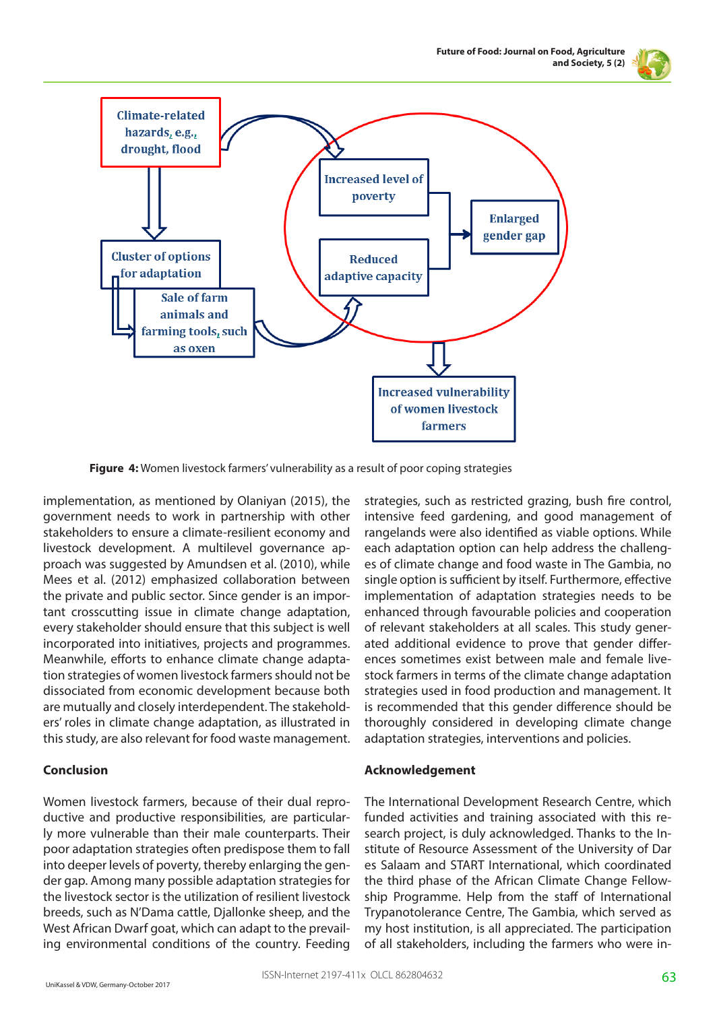



**Figure 4:** Women livestock farmers' vulnerability as a result of poor coping strategies

implementation, as mentioned by Olaniyan (2015), the government needs to work in partnership with other stakeholders to ensure a climate-resilient economy and livestock development. A multilevel governance approach was suggested by Amundsen et al. (2010), while Mees et al. (2012) emphasized collaboration between the private and public sector. Since gender is an important crosscutting issue in climate change adaptation, every stakeholder should ensure that this subject is well incorporated into initiatives, projects and programmes. Meanwhile, efforts to enhance climate change adaptation strategies of women livestock farmers should not be dissociated from economic development because both are mutually and closely interdependent. The stakeholders' roles in climate change adaptation, as illustrated in this study, are also relevant for food waste management.

# **Conclusion**

Women livestock farmers, because of their dual reproductive and productive responsibilities, are particularly more vulnerable than their male counterparts. Their poor adaptation strategies often predispose them to fall into deeper levels of poverty, thereby enlarging the gender gap. Among many possible adaptation strategies for the livestock sector is the utilization of resilient livestock breeds, such as N'Dama cattle, Djallonke sheep, and the West African Dwarf goat, which can adapt to the prevailing environmental conditions of the country. Feeding

strategies, such as restricted grazing, bush fire control, intensive feed gardening, and good management of rangelands were also identified as viable options. While each adaptation option can help address the challenges of climate change and food waste in The Gambia, no single option is sufficient by itself. Furthermore, effective implementation of adaptation strategies needs to be enhanced through favourable policies and cooperation of relevant stakeholders at all scales. This study generated additional evidence to prove that gender differences sometimes exist between male and female livestock farmers in terms of the climate change adaptation strategies used in food production and management. It is recommended that this gender difference should be thoroughly considered in developing climate change adaptation strategies, interventions and policies.

# **Acknowledgement**

The International Development Research Centre, which funded activities and training associated with this research project, is duly acknowledged. Thanks to the Institute of Resource Assessment of the University of Dar es Salaam and START International, which coordinated the third phase of the African Climate Change Fellowship Programme. Help from the staff of International Trypanotolerance Centre, The Gambia, which served as my host institution, is all appreciated. The participation of all stakeholders, including the farmers who were in-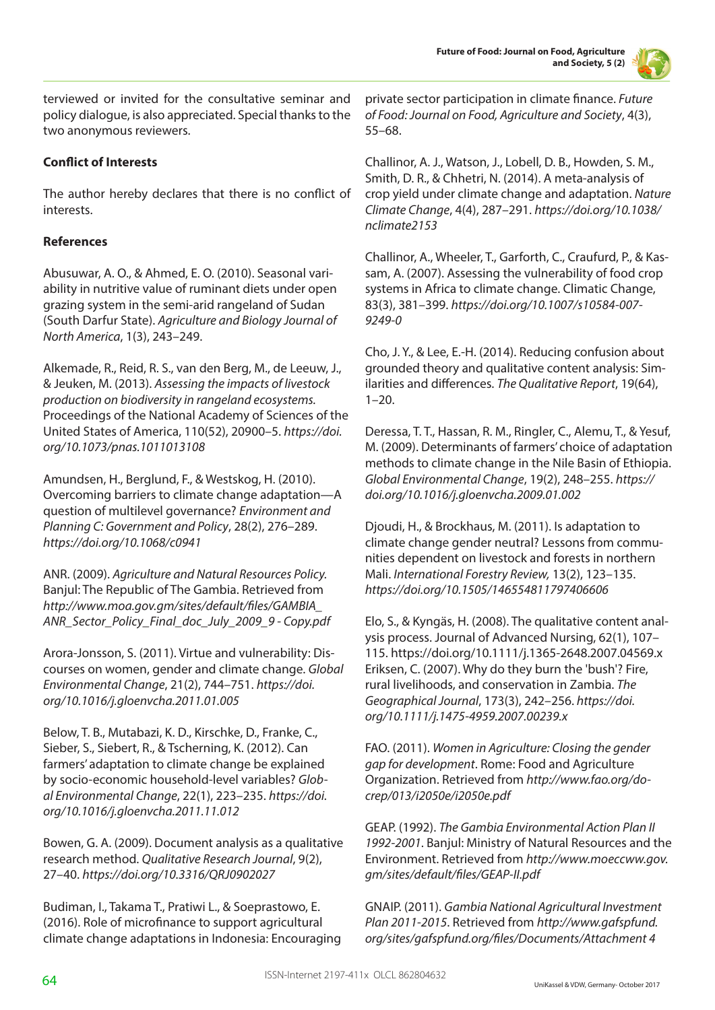

terviewed or invited for the consultative seminar and policy dialogue, is also appreciated. Special thanks to the two anonymous reviewers.

# **Conflict of Interests**

The author hereby declares that there is no conflict of interests.

# **References**

Abusuwar, A. O., & Ahmed, E. O. (2010). Seasonal variability in nutritive value of ruminant diets under open grazing system in the semi-arid rangeland of Sudan (South Darfur State). *Agriculture and Biology Journal of North America*, 1(3), 243–249.

Alkemade, R., Reid, R. S., van den Berg, M., de Leeuw, J., & Jeuken, M. (2013). *Assessing the impacts of livestock production on biodiversity in rangeland ecosystems.* Proceedings of the National Academy of Sciences of the United States of America, 110(52), 20900–5. *https://doi. org/10.1073/pnas.1011013108*

Amundsen, H., Berglund, F., & Westskog, H. (2010). Overcoming barriers to climate change adaptation—A question of multilevel governance? *Environment and Planning C: Government and Policy*, 28(2), 276–289. *https://doi.org/10.1068/c0941*

ANR. (2009). *Agriculture and Natural Resources Policy.* Banjul: The Republic of The Gambia. Retrieved from *http://www.moa.gov.gm/sites/default/files/GAMBIA\_ ANR\_Sector\_Policy\_Final\_doc\_July\_2009\_9 - Copy.pdf*

Arora-Jonsson, S. (2011). Virtue and vulnerability: Discourses on women, gender and climate change. *Global Environmental Change*, 21(2), 744–751. *https://doi. org/10.1016/j.gloenvcha.2011.01.005*

Below, T. B., Mutabazi, K. D., Kirschke, D., Franke, C., Sieber, S., Siebert, R., & Tscherning, K. (2012). Can farmers' adaptation to climate change be explained by socio-economic household-level variables? *Global Environmental Change*, 22(1), 223–235. *https://doi. org/10.1016/j.gloenvcha.2011.11.012*

Bowen, G. A. (2009). Document analysis as a qualitative research method. *Qualitative Research Journal*, 9(2), 27–40. *https://doi.org/10.3316/QRJ0902027*

Budiman, I., Takama T., Pratiwi L., & Soeprastowo, E. (2016). Role of microfinance to support agricultural climate change adaptations in Indonesia: Encouraging private sector participation in climate finance. *Future of Food: Journal on Food, Agriculture and Society*, 4(3), 55–68.

Challinor, A. J., Watson, J., Lobell, D. B., Howden, S. M., Smith, D. R., & Chhetri, N. (2014). A meta-analysis of crop yield under climate change and adaptation. *Nature Climate Change*, 4(4), 287–291. *https://doi.org/10.1038/ nclimate2153*

Challinor, A., Wheeler, T., Garforth, C., Craufurd, P., & Kassam, A. (2007). Assessing the vulnerability of food crop systems in Africa to climate change. Climatic Change, 83(3), 381–399. *https://doi.org/10.1007/s10584-007- 9249-0*

Cho, J. Y., & Lee, E.-H. (2014). Reducing confusion about grounded theory and qualitative content analysis: Similarities and differences. *The Qualitative Report*, 19(64),  $1 - 20.$ 

Deressa, T. T., Hassan, R. M., Ringler, C., Alemu, T., & Yesuf, M. (2009). Determinants of farmers' choice of adaptation methods to climate change in the Nile Basin of Ethiopia. *Global Environmental Change*, 19(2), 248–255. *https:// doi.org/10.1016/j.gloenvcha.2009.01.002*

Djoudi, H., & Brockhaus, M. (2011). Is adaptation to climate change gender neutral? Lessons from communities dependent on livestock and forests in northern Mali. *International Forestry Review,* 13(2), 123–135. *https://doi.org/10.1505/146554811797406606*

Elo, S., & Kyngäs, H. (2008). The qualitative content analysis process. Journal of Advanced Nursing, 62(1), 107– 115. https://doi.org/10.1111/j.1365-2648.2007.04569.x Eriksen, C. (2007). Why do they burn the 'bush'? Fire, rural livelihoods, and conservation in Zambia. *The Geographical Journal*, 173(3), 242–256. *https://doi. org/10.1111/j.1475-4959.2007.00239.x*

FAO. (2011). *Women in Agriculture: Closing the gender gap for development*. Rome: Food and Agriculture Organization. Retrieved from *http://www.fao.org/docrep/013/i2050e/i2050e.pdf*

GEAP. (1992). *The Gambia Environmental Action Plan II 1992-2001*. Banjul: Ministry of Natural Resources and the Environment. Retrieved from *http://www.moeccww.gov. gm/sites/default/files/GEAP-II.pdf* 

GNAIP. (2011). *Gambia National Agricultural Investment Plan 2011-2015*. Retrieved from *http://www.gafspfund. org/sites/gafspfund.org/files/Documents/Attachment 4*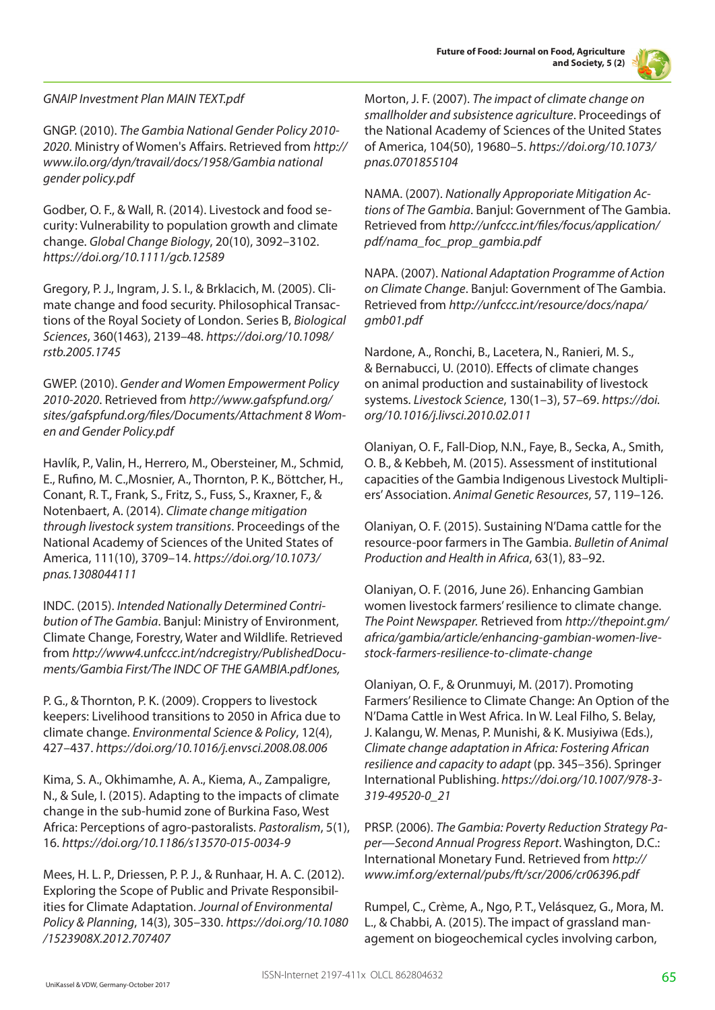

# *GNAIP Investment Plan MAIN TEXT.pdf*

GNGP. (2010). *The Gambia National Gender Policy 2010- 2020*. Ministry of Women's Affairs. Retrieved from *http:// www.ilo.org/dyn/travail/docs/1958/Gambia national gender policy.pdf*

Godber, O. F., & Wall, R. (2014). Livestock and food security: Vulnerability to population growth and climate change. *Global Change Biology*, 20(10), 3092–3102. *https://doi.org/10.1111/gcb.12589*

Gregory, P. J., Ingram, J. S. I., & Brklacich, M. (2005). Climate change and food security. Philosophical Transactions of the Royal Society of London. Series B, *Biological Sciences*, 360(1463), 2139–48. *https://doi.org/10.1098/ rstb.2005.1745*

GWEP. (2010). *Gender and Women Empowerment Policy 2010-2020*. Retrieved from *http://www.gafspfund.org/ sites/gafspfund.org/files/Documents/Attachment 8 Women and Gender Policy.pdf*

Havlík, P., Valin, H., Herrero, M., Obersteiner, M., Schmid, E., Rufino, M. C.,Mosnier, A., Thornton, P. K., Böttcher, H., Conant, R. T., Frank, S., Fritz, S., Fuss, S., Kraxner, F., & Notenbaert, A. (2014). *Climate change mitigation through livestock system transitions*. Proceedings of the National Academy of Sciences of the United States of America, 111(10), 3709–14. *https://doi.org/10.1073/ pnas.1308044111*

INDC. (2015). *Intended Nationally Determined Contribution of The Gambia*. Banjul: Ministry of Environment, Climate Change, Forestry, Water and Wildlife. Retrieved from *http://www4.unfccc.int/ndcregistry/PublishedDocuments/Gambia First/The INDC OF THE GAMBIA.pdfJones,* 

P. G., & Thornton, P. K. (2009). Croppers to livestock keepers: Livelihood transitions to 2050 in Africa due to climate change. *Environmental Science & Policy*, 12(4), 427–437. *https://doi.org/10.1016/j.envsci.2008.08.006*

Kima, S. A., Okhimamhe, A. A., Kiema, A., Zampaligre, N., & Sule, I. (2015). Adapting to the impacts of climate change in the sub-humid zone of Burkina Faso, West Africa: Perceptions of agro-pastoralists. *Pastoralism*, 5(1), 16. *https://doi.org/10.1186/s13570-015-0034-9*

Mees, H. L. P., Driessen, P. P. J., & Runhaar, H. A. C. (2012). Exploring the Scope of Public and Private Responsibilities for Climate Adaptation. *Journal of Environmental Policy & Planning*, 14(3), 305–330. *https://doi.org/10.1080 /1523908X.2012.707407*

Morton, J. F. (2007). *The impact of climate change on smallholder and subsistence agriculture*. Proceedings of the National Academy of Sciences of the United States of America, 104(50), 19680–5. *https://doi.org/10.1073/ pnas.0701855104*

NAMA. (2007). *Nationally Approporiate Mitigation Actions of The Gambia*. Banjul: Government of The Gambia. Retrieved from *http://unfccc.int/files/focus/application/ pdf/nama\_foc\_prop\_gambia.pdf*

NAPA. (2007). *National Adaptation Programme of Action on Climate Change*. Banjul: Government of The Gambia. Retrieved from *http://unfccc.int/resource/docs/napa/ gmb01.pdf*

Nardone, A., Ronchi, B., Lacetera, N., Ranieri, M. S., & Bernabucci, U. (2010). Effects of climate changes on animal production and sustainability of livestock systems. *Livestock Science*, 130(1–3), 57–69. *https://doi. org/10.1016/j.livsci.2010.02.011*

Olaniyan, O. F., Fall-Diop, N.N., Faye, B., Secka, A., Smith, O. B., & Kebbeh, M. (2015). Assessment of institutional capacities of the Gambia Indigenous Livestock Multipliers' Association. *Animal Genetic Resources*, 57, 119–126.

Olaniyan, O. F. (2015). Sustaining N'Dama cattle for the resource-poor farmers in The Gambia. *Bulletin of Animal Production and Health in Africa*, 63(1), 83–92.

Olaniyan, O. F. (2016, June 26). Enhancing Gambian women livestock farmers' resilience to climate change. *The Point Newspaper.* Retrieved from *http://thepoint.gm/ africa/gambia/article/enhancing-gambian-women-livestock-farmers-resilience-to-climate-change*

Olaniyan, O. F., & Orunmuyi, M. (2017). Promoting Farmers' Resilience to Climate Change: An Option of the N'Dama Cattle in West Africa. In W. Leal Filho, S. Belay, J. Kalangu, W. Menas, P. Munishi, & K. Musiyiwa (Eds.), *Climate change adaptation in Africa: Fostering African resilience and capacity to adapt* (pp. 345–356). Springer International Publishing. *https://doi.org/10.1007/978-3- 319-49520-0\_21*

PRSP. (2006). *The Gambia: Poverty Reduction Strategy Paper—Second Annual Progress Report*. Washington, D.C.: International Monetary Fund. Retrieved from *http:// www.imf.org/external/pubs/ft/scr/2006/cr06396.pdf*

Rumpel, C., Crème, A., Ngo, P. T., Velásquez, G., Mora, M. L., & Chabbi, A. (2015). The impact of grassland management on biogeochemical cycles involving carbon,